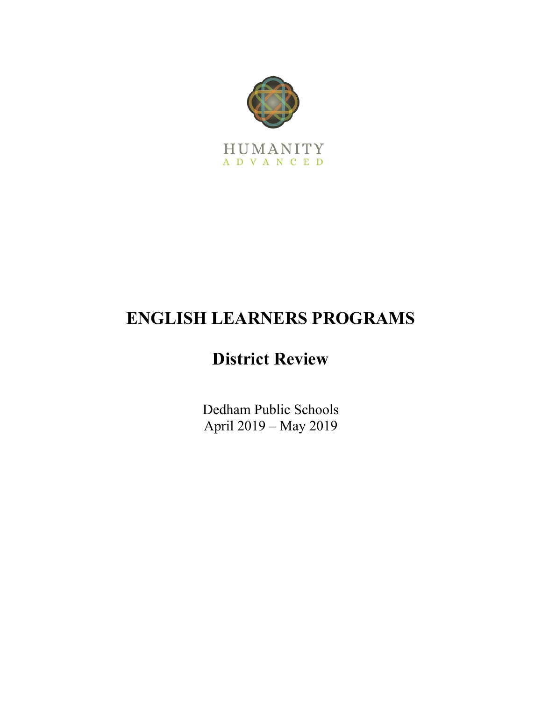

# **ENGLISH LEARNERS PROGRAMS**

# **District Review**

Dedham Public Schools April 2019 – May 2019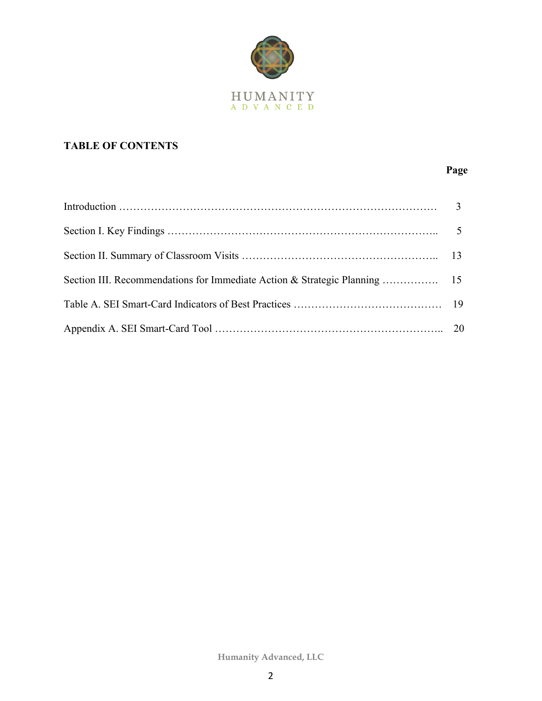

# **TABLE OF CONTENTS**

# **Page**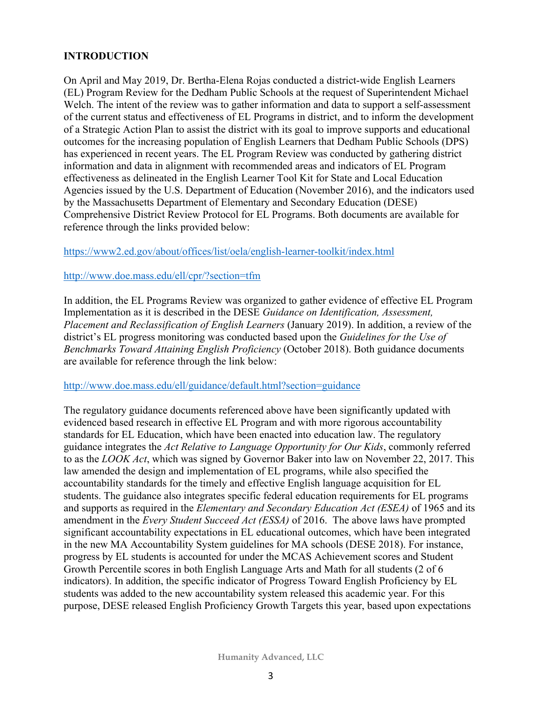#### **INTRODUCTION**

On April and May 2019, Dr. Bertha-Elena Rojas conducted a district-wide English Learners (EL) Program Review for the Dedham Public Schools at the request of Superintendent Michael Welch. The intent of the review was to gather information and data to support a self-assessment of the current status and effectiveness of EL Programs in district, and to inform the development of a Strategic Action Plan to assist the district with its goal to improve supports and educational outcomes for the increasing population of English Learners that Dedham Public Schools (DPS) has experienced in recent years. The EL Program Review was conducted by gathering district information and data in alignment with recommended areas and indicators of EL Program effectiveness as delineated in the English Learner Tool Kit for State and Local Education Agencies issued by the U.S. Department of Education (November 2016), and the indicators used by the Massachusetts Department of Elementary and Secondary Education (DESE) Comprehensive District Review Protocol for EL Programs. Both documents are available for reference through the links provided below:

https://www2.ed.gov/about/offices/list/oela/english-learner-toolkit/index.html

#### http://www.doe.mass.edu/ell/cpr/?section=tfm

In addition, the EL Programs Review was organized to gather evidence of effective EL Program Implementation as it is described in the DESE *Guidance on Identification, Assessment, Placement and Reclassification of English Learners* (January 2019). In addition, a review of the district's EL progress monitoring was conducted based upon the *Guidelines for the Use of Benchmarks Toward Attaining English Proficiency* (October 2018). Both guidance documents are available for reference through the link below:

#### http://www.doe.mass.edu/ell/guidance/default.html?section=guidance

The regulatory guidance documents referenced above have been significantly updated with evidenced based research in effective EL Program and with more rigorous accountability standards for EL Education, which have been enacted into education law. The regulatory guidance integrates the *Act Relative to Language Opportunity for Our Kids*, commonly referred to as the *LOOK Act*, which was signed by Governor Baker into law on November 22, 2017. This law amended the design and implementation of EL programs, while also specified the accountability standards for the timely and effective English language acquisition for EL students. The guidance also integrates specific federal education requirements for EL programs and supports as required in the *Elementary and Secondary Education Act (ESEA)* of 1965 and its amendment in the *Every Student Succeed Act (ESSA)* of 2016. The above laws have prompted significant accountability expectations in EL educational outcomes, which have been integrated in the new MA Accountability System guidelines for MA schools (DESE 2018). For instance, progress by EL students is accounted for under the MCAS Achievement scores and Student Growth Percentile scores in both English Language Arts and Math for all students (2 of 6 indicators). In addition, the specific indicator of Progress Toward English Proficiency by EL students was added to the new accountability system released this academic year. For this purpose, DESE released English Proficiency Growth Targets this year, based upon expectations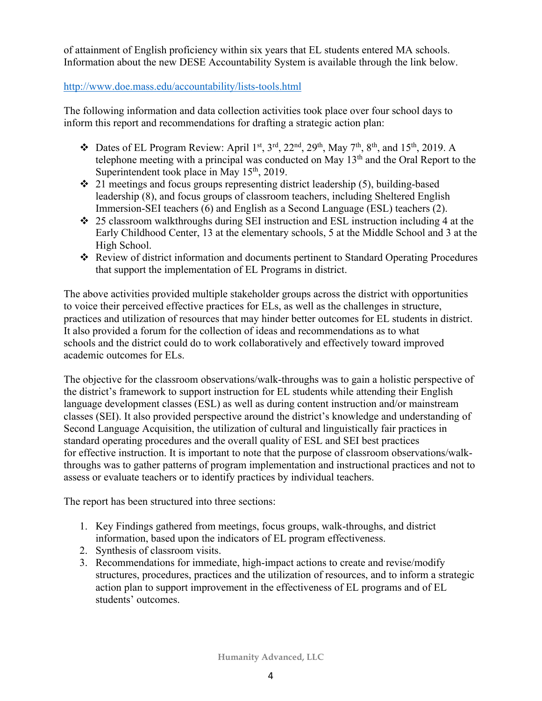of attainment of English proficiency within six years that EL students entered MA schools. Information about the new DESE Accountability System is available through the link below.

#### http://www.doe.mass.edu/accountability/lists-tools.html

The following information and data collection activities took place over four school days to inform this report and recommendations for drafting a strategic action plan:

- $\bullet$  Dates of EL Program Review: April 1<sup>st</sup>, 3<sup>rd</sup>, 22<sup>nd</sup>, 29<sup>th</sup>, May 7<sup>th</sup>, 8<sup>th</sup>, and 15<sup>th</sup>, 2019. A telephone meeting with a principal was conducted on May  $13<sup>th</sup>$  and the Oral Report to the Superintendent took place in May  $15<sup>th</sup>$ , 2019.
- $\div$  21 meetings and focus groups representing district leadership (5), building-based leadership (8), and focus groups of classroom teachers, including Sheltered English Immersion-SEI teachers (6) and English as a Second Language (ESL) teachers (2).
- $\div$  25 classroom walkthroughs during SEI instruction and ESL instruction including 4 at the Early Childhood Center, 13 at the elementary schools, 5 at the Middle School and 3 at the High School.
- \* Review of district information and documents pertinent to Standard Operating Procedures that support the implementation of EL Programs in district.

The above activities provided multiple stakeholder groups across the district with opportunities to voice their perceived effective practices for ELs, as well as the challenges in structure, practices and utilization of resources that may hinder better outcomes for EL students in district. It also provided a forum for the collection of ideas and recommendations as to what schools and the district could do to work collaboratively and effectively toward improved academic outcomes for ELs.

The objective for the classroom observations/walk-throughs was to gain a holistic perspective of the district's framework to support instruction for EL students while attending their English language development classes (ESL) as well as during content instruction and/or mainstream classes (SEI). It also provided perspective around the district's knowledge and understanding of Second Language Acquisition, the utilization of cultural and linguistically fair practices in standard operating procedures and the overall quality of ESL and SEI best practices for effective instruction. It is important to note that the purpose of classroom observations/walkthroughs was to gather patterns of program implementation and instructional practices and not to assess or evaluate teachers or to identify practices by individual teachers.

The report has been structured into three sections:

- 1. Key Findings gathered from meetings, focus groups, walk-throughs, and district information, based upon the indicators of EL program effectiveness.
- 2. Synthesis of classroom visits.
- 3. Recommendations for immediate, high-impact actions to create and revise/modify structures, procedures, practices and the utilization of resources, and to inform a strategic action plan to support improvement in the effectiveness of EL programs and of EL students' outcomes.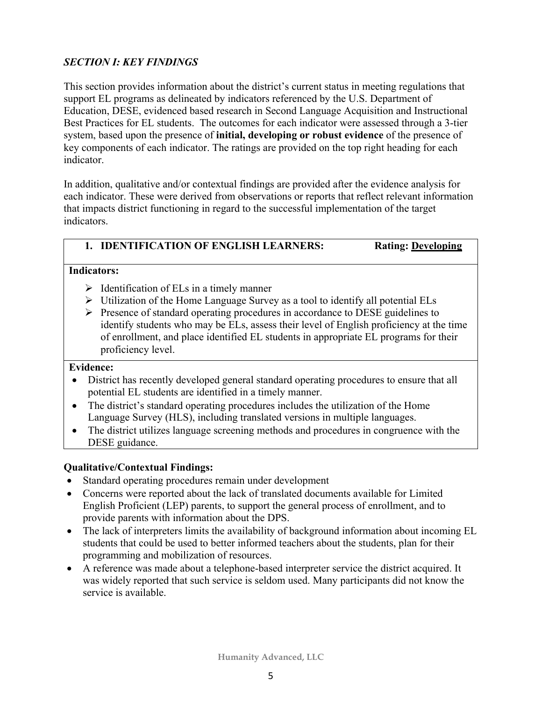# *SECTION I: KEY FINDINGS*

This section provides information about the district's current status in meeting regulations that support EL programs as delineated by indicators referenced by the U.S. Department of Education, DESE, evidenced based research in Second Language Acquisition and Instructional Best Practices for EL students. The outcomes for each indicator were assessed through a 3-tier system, based upon the presence of **initial, developing or robust evidence** of the presence of key components of each indicator. The ratings are provided on the top right heading for each indicator.

In addition, qualitative and/or contextual findings are provided after the evidence analysis for each indicator. These were derived from observations or reports that reflect relevant information that impacts district functioning in regard to the successful implementation of the target indicators.

# **1. IDENTIFICATION OF ENGLISH LEARNERS: Rating: Developing**

#### **Indicators:**

- $\triangleright$  Identification of ELs in a timely manner
- $\triangleright$  Utilization of the Home Language Survey as a tool to identify all potential ELs
- Ø Presence of standard operating procedures in accordance to DESE guidelines to identify students who may be ELs, assess their level of English proficiency at the time of enrollment, and place identified EL students in appropriate EL programs for their proficiency level.

#### **Evidence:**

- District has recently developed general standard operating procedures to ensure that all potential EL students are identified in a timely manner.
- The district's standard operating procedures includes the utilization of the Home Language Survey (HLS), including translated versions in multiple languages.
- The district utilizes language screening methods and procedures in congruence with the DESE guidance.

#### **Qualitative/Contextual Findings:**

- Standard operating procedures remain under development
- Concerns were reported about the lack of translated documents available for Limited English Proficient (LEP) parents, to support the general process of enrollment, and to provide parents with information about the DPS.
- The lack of interpreters limits the availability of background information about incoming EL students that could be used to better informed teachers about the students, plan for their programming and mobilization of resources.
- A reference was made about a telephone-based interpreter service the district acquired. It was widely reported that such service is seldom used. Many participants did not know the service is available.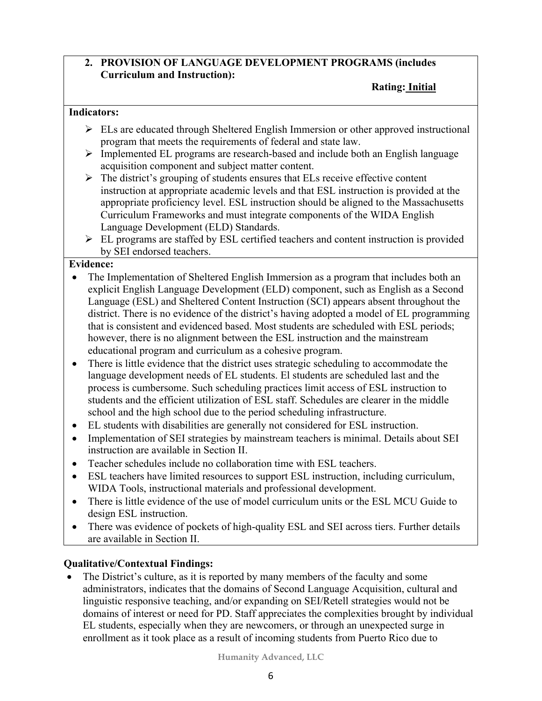### **2. PROVISION OF LANGUAGE DEVELOPMENT PROGRAMS (includes Curriculum and Instruction):**

#### **Rating: Initial**

#### **Indicators:**

- $\triangleright$  ELs are educated through Sheltered English Immersion or other approved instructional program that meets the requirements of federal and state law.
- $\triangleright$  Implemented EL programs are research-based and include both an English language acquisition component and subject matter content.
- $\triangleright$  The district's grouping of students ensures that ELs receive effective content instruction at appropriate academic levels and that ESL instruction is provided at the appropriate proficiency level. ESL instruction should be aligned to the Massachusetts Curriculum Frameworks and must integrate components of the WIDA English Language Development (ELD) Standards.
- $\triangleright$  EL programs are staffed by ESL certified teachers and content instruction is provided by SEI endorsed teachers.

#### **Evidence:**

- The Implementation of Sheltered English Immersion as a program that includes both an explicit English Language Development (ELD) component, such as English as a Second Language (ESL) and Sheltered Content Instruction (SCI) appears absent throughout the district. There is no evidence of the district's having adopted a model of EL programming that is consistent and evidenced based. Most students are scheduled with ESL periods; however, there is no alignment between the ESL instruction and the mainstream educational program and curriculum as a cohesive program.
- There is little evidence that the district uses strategic scheduling to accommodate the language development needs of EL students. El students are scheduled last and the process is cumbersome. Such scheduling practices limit access of ESL instruction to students and the efficient utilization of ESL staff. Schedules are clearer in the middle school and the high school due to the period scheduling infrastructure.
- EL students with disabilities are generally not considered for ESL instruction.
- Implementation of SEI strategies by mainstream teachers is minimal. Details about SEI instruction are available in Section II.
- Teacher schedules include no collaboration time with ESL teachers.
- ESL teachers have limited resources to support ESL instruction, including curriculum, WIDA Tools, instructional materials and professional development.
- There is little evidence of the use of model curriculum units or the ESL MCU Guide to design ESL instruction.
- There was evidence of pockets of high-quality ESL and SEI across tiers. Further details are available in Section II.

# **Qualitative/Contextual Findings:**

• The District's culture, as it is reported by many members of the faculty and some administrators, indicates that the domains of Second Language Acquisition, cultural and linguistic responsive teaching, and/or expanding on SEI/Retell strategies would not be domains of interest or need for PD. Staff appreciates the complexities brought by individual EL students, especially when they are newcomers, or through an unexpected surge in enrollment as it took place as a result of incoming students from Puerto Rico due to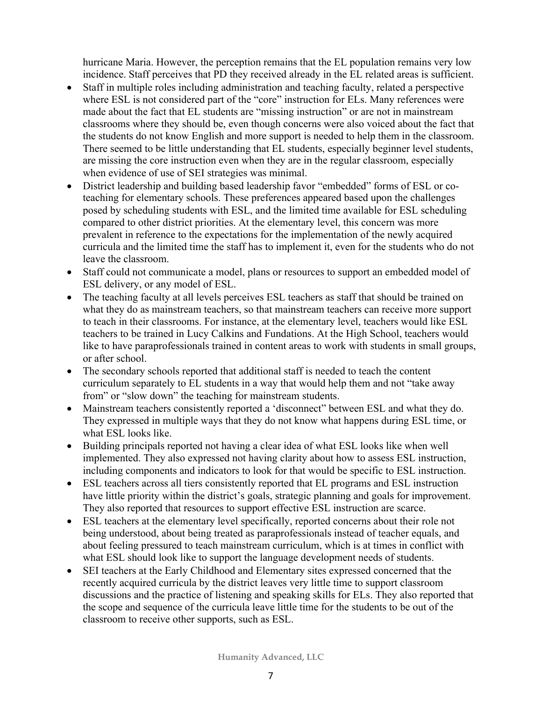hurricane Maria. However, the perception remains that the EL population remains very low incidence. Staff perceives that PD they received already in the EL related areas is sufficient.

- Staff in multiple roles including administration and teaching faculty, related a perspective where ESL is not considered part of the "core" instruction for ELs. Many references were made about the fact that EL students are "missing instruction" or are not in mainstream classrooms where they should be, even though concerns were also voiced about the fact that the students do not know English and more support is needed to help them in the classroom. There seemed to be little understanding that EL students, especially beginner level students, are missing the core instruction even when they are in the regular classroom, especially when evidence of use of SEI strategies was minimal.
- District leadership and building based leadership favor "embedded" forms of ESL or coteaching for elementary schools. These preferences appeared based upon the challenges posed by scheduling students with ESL, and the limited time available for ESL scheduling compared to other district priorities. At the elementary level, this concern was more prevalent in reference to the expectations for the implementation of the newly acquired curricula and the limited time the staff has to implement it, even for the students who do not leave the classroom.
- Staff could not communicate a model, plans or resources to support an embedded model of ESL delivery, or any model of ESL.
- The teaching faculty at all levels perceives ESL teachers as staff that should be trained on what they do as mainstream teachers, so that mainstream teachers can receive more support to teach in their classrooms. For instance, at the elementary level, teachers would like ESL teachers to be trained in Lucy Calkins and Fundations. At the High School, teachers would like to have paraprofessionals trained in content areas to work with students in small groups, or after school.
- The secondary schools reported that additional staff is needed to teach the content curriculum separately to EL students in a way that would help them and not "take away from" or "slow down" the teaching for mainstream students.
- Mainstream teachers consistently reported a 'disconnect'' between ESL and what they do. They expressed in multiple ways that they do not know what happens during ESL time, or what ESL looks like.
- Building principals reported not having a clear idea of what ESL looks like when well implemented. They also expressed not having clarity about how to assess ESL instruction, including components and indicators to look for that would be specific to ESL instruction.
- ESL teachers across all tiers consistently reported that EL programs and ESL instruction have little priority within the district's goals, strategic planning and goals for improvement. They also reported that resources to support effective ESL instruction are scarce.
- ESL teachers at the elementary level specifically, reported concerns about their role not being understood, about being treated as paraprofessionals instead of teacher equals, and about feeling pressured to teach mainstream curriculum, which is at times in conflict with what ESL should look like to support the language development needs of students.
- SEI teachers at the Early Childhood and Elementary sites expressed concerned that the recently acquired curricula by the district leaves very little time to support classroom discussions and the practice of listening and speaking skills for ELs. They also reported that the scope and sequence of the curricula leave little time for the students to be out of the classroom to receive other supports, such as ESL.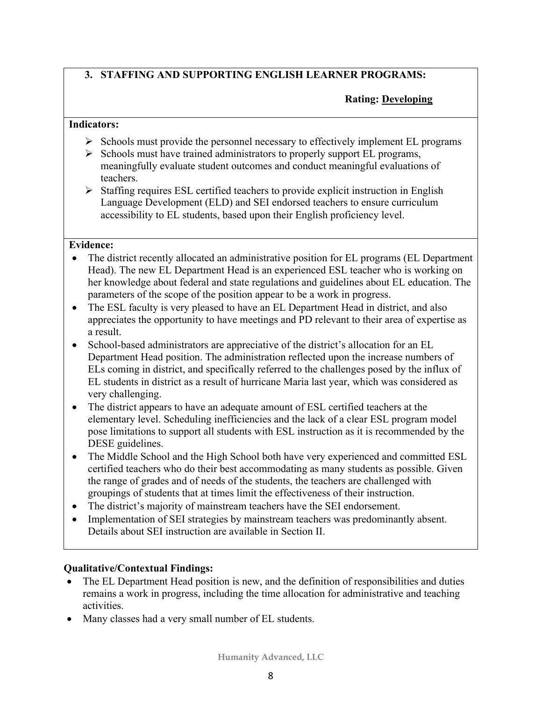# **3. STAFFING AND SUPPORTING ENGLISH LEARNER PROGRAMS:**

### **Rating: Developing**

#### **Indicators:**

- $\triangleright$  Schools must provide the personnel necessary to effectively implement EL programs
- $\triangleright$  Schools must have trained administrators to properly support EL programs, meaningfully evaluate student outcomes and conduct meaningful evaluations of teachers.
- $\triangleright$  Staffing requires ESL certified teachers to provide explicit instruction in English Language Development (ELD) and SEI endorsed teachers to ensure curriculum accessibility to EL students, based upon their English proficiency level.

#### **Evidence:**

- The district recently allocated an administrative position for EL programs (EL Department Head). The new EL Department Head is an experienced ESL teacher who is working on her knowledge about federal and state regulations and guidelines about EL education. The parameters of the scope of the position appear to be a work in progress.
- The ESL faculty is very pleased to have an EL Department Head in district, and also appreciates the opportunity to have meetings and PD relevant to their area of expertise as a result.
- School-based administrators are appreciative of the district's allocation for an EL Department Head position. The administration reflected upon the increase numbers of ELs coming in district, and specifically referred to the challenges posed by the influx of EL students in district as a result of hurricane Maria last year, which was considered as very challenging.
- The district appears to have an adequate amount of ESL certified teachers at the elementary level. Scheduling inefficiencies and the lack of a clear ESL program model pose limitations to support all students with ESL instruction as it is recommended by the DESE guidelines.
- The Middle School and the High School both have very experienced and committed ESL certified teachers who do their best accommodating as many students as possible. Given the range of grades and of needs of the students, the teachers are challenged with groupings of students that at times limit the effectiveness of their instruction.
- The district's majority of mainstream teachers have the SEI endorsement.
- Implementation of SEI strategies by mainstream teachers was predominantly absent. Details about SEI instruction are available in Section II.

#### **Qualitative/Contextual Findings:**

- The EL Department Head position is new, and the definition of responsibilities and duties remains a work in progress, including the time allocation for administrative and teaching activities.
- Many classes had a very small number of EL students.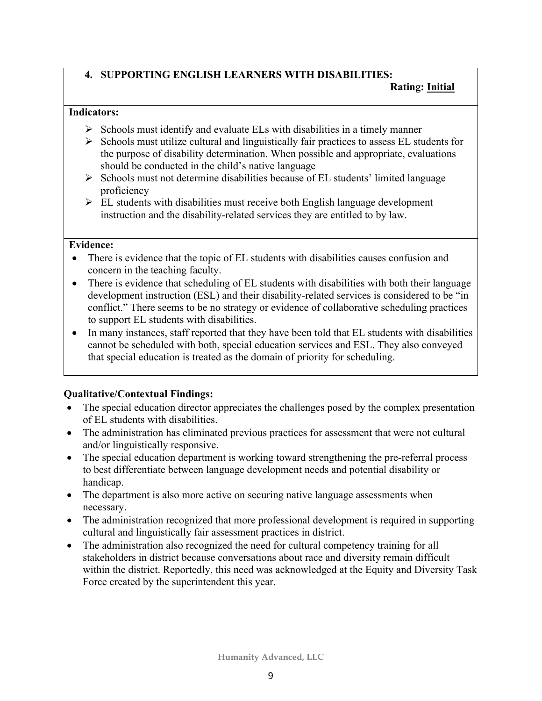# **4. SUPPORTING ENGLISH LEARNERS WITH DISABILITIES:**

#### **Rating: Initial**

#### **Indicators:**

- $\triangleright$  Schools must identify and evaluate ELs with disabilities in a timely manner
- $\triangleright$  Schools must utilize cultural and linguistically fair practices to assess EL students for the purpose of disability determination. When possible and appropriate, evaluations should be conducted in the child's native language
- $\triangleright$  Schools must not determine disabilities because of EL students' limited language proficiency
- $\triangleright$  EL students with disabilities must receive both English language development instruction and the disability-related services they are entitled to by law.

#### **Evidence:**

- There is evidence that the topic of EL students with disabilities causes confusion and concern in the teaching faculty.
- There is evidence that scheduling of EL students with disabilities with both their language development instruction (ESL) and their disability-related services is considered to be "in conflict." There seems to be no strategy or evidence of collaborative scheduling practices to support EL students with disabilities.
- In many instances, staff reported that they have been told that EL students with disabilities cannot be scheduled with both, special education services and ESL. They also conveyed that special education is treated as the domain of priority for scheduling.

# **Qualitative/Contextual Findings:**

- The special education director appreciates the challenges posed by the complex presentation of EL students with disabilities.
- The administration has eliminated previous practices for assessment that were not cultural and/or linguistically responsive.
- The special education department is working toward strengthening the pre-referral process to best differentiate between language development needs and potential disability or handicap.
- The department is also more active on securing native language assessments when necessary.
- The administration recognized that more professional development is required in supporting cultural and linguistically fair assessment practices in district.
- The administration also recognized the need for cultural competency training for all stakeholders in district because conversations about race and diversity remain difficult within the district. Reportedly, this need was acknowledged at the Equity and Diversity Task Force created by the superintendent this year.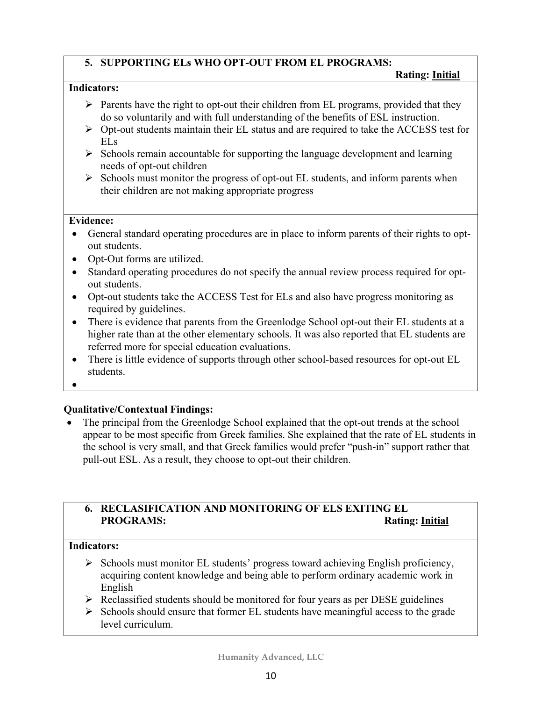### **5. SUPPORTING ELs WHO OPT-OUT FROM EL PROGRAMS:**

#### **Rating: Initial**

#### **Indicators:**

- $\triangleright$  Parents have the right to opt-out their children from EL programs, provided that they do so voluntarily and with full understanding of the benefits of ESL instruction.
- $\triangleright$  Opt-out students maintain their EL status and are required to take the ACCESS test for ELs
- $\triangleright$  Schools remain accountable for supporting the language development and learning needs of opt-out children
- $\triangleright$  Schools must monitor the progress of opt-out EL students, and inform parents when their children are not making appropriate progress

#### **Evidence:**

- General standard operating procedures are in place to inform parents of their rights to optout students.
- Opt-Out forms are utilized.
- Standard operating procedures do not specify the annual review process required for optout students.
- Opt-out students take the ACCESS Test for ELs and also have progress monitoring as required by guidelines.
- There is evidence that parents from the Greenlodge School opt-out their EL students at a higher rate than at the other elementary schools. It was also reported that EL students are referred more for special education evaluations.
- There is little evidence of supports through other school-based resources for opt-out EL students.
- •

#### **Qualitative/Contextual Findings:**

• The principal from the Greenlodge School explained that the opt-out trends at the school appear to be most specific from Greek families. She explained that the rate of EL students in the school is very small, and that Greek families would prefer "push-in" support rather that pull-out ESL. As a result, they choose to opt-out their children.

# **6. RECLASIFICATION AND MONITORING OF ELS EXITING EL PROGRAMS:** Rating: **Initial**

#### **Indicators:**

- $\triangleright$  Schools must monitor EL students' progress toward achieving English proficiency, acquiring content knowledge and being able to perform ordinary academic work in English
- $\triangleright$  Reclassified students should be monitored for four years as per DESE guidelines
- $\triangleright$  Schools should ensure that former EL students have meaningful access to the grade level curriculum.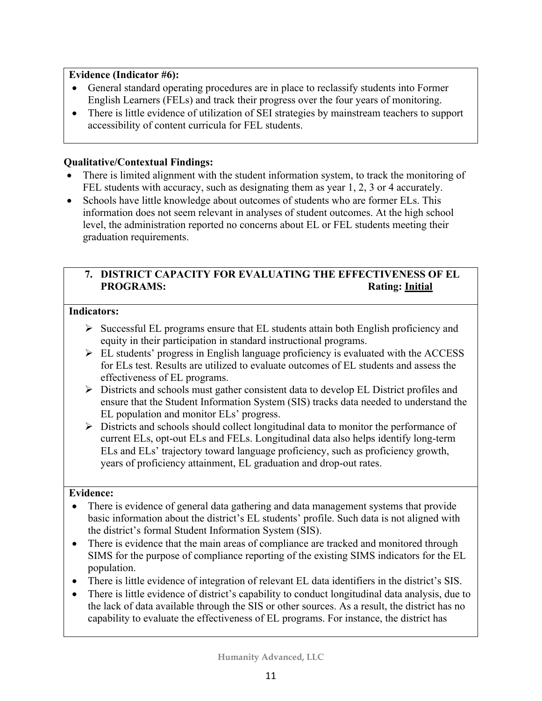#### **Evidence (Indicator #6):**

- General standard operating procedures are in place to reclassify students into Former English Learners (FELs) and track their progress over the four years of monitoring.
- There is little evidence of utilization of SEI strategies by mainstream teachers to support accessibility of content curricula for FEL students.

#### **Qualitative/Contextual Findings:**

- There is limited alignment with the student information system, to track the monitoring of FEL students with accuracy, such as designating them as year 1, 2, 3 or 4 accurately.
- Schools have little knowledge about outcomes of students who are former ELs. This information does not seem relevant in analyses of student outcomes. At the high school level, the administration reported no concerns about EL or FEL students meeting their graduation requirements.

# **7. DISTRICT CAPACITY FOR EVALUATING THE EFFECTIVENESS OF EL PROGRAMS:** Rating: Initial

#### **Indicators:**

- $\triangleright$  Successful EL programs ensure that EL students attain both English proficiency and equity in their participation in standard instructional programs.
- $\triangleright$  EL students' progress in English language proficiency is evaluated with the ACCESS for ELs test. Results are utilized to evaluate outcomes of EL students and assess the effectiveness of EL programs.
- $\triangleright$  Districts and schools must gather consistent data to develop EL District profiles and ensure that the Student Information System (SIS) tracks data needed to understand the EL population and monitor ELs' progress.
- $\triangleright$  Districts and schools should collect longitudinal data to monitor the performance of current ELs, opt-out ELs and FELs. Longitudinal data also helps identify long-term ELs and ELs' trajectory toward language proficiency, such as proficiency growth, years of proficiency attainment, EL graduation and drop-out rates.

#### **Evidence:**

- There is evidence of general data gathering and data management systems that provide basic information about the district's EL students' profile. Such data is not aligned with the district's formal Student Information System (SIS).
- There is evidence that the main areas of compliance are tracked and monitored through SIMS for the purpose of compliance reporting of the existing SIMS indicators for the EL population.
- There is little evidence of integration of relevant EL data identifiers in the district's SIS.
- There is little evidence of district's capability to conduct longitudinal data analysis, due to the lack of data available through the SIS or other sources. As a result, the district has no capability to evaluate the effectiveness of EL programs. For instance, the district has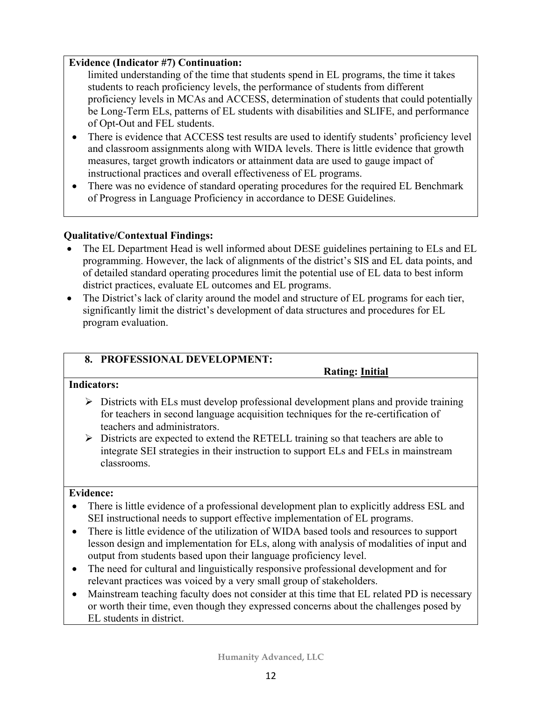#### **Evidence (Indicator #7) Continuation:**

limited understanding of the time that students spend in EL programs, the time it takes students to reach proficiency levels, the performance of students from different proficiency levels in MCAs and ACCESS, determination of students that could potentially be Long-Term ELs, patterns of EL students with disabilities and SLIFE, and performance of Opt-Out and FEL students.

- There is evidence that ACCESS test results are used to identify students' proficiency level and classroom assignments along with WIDA levels. There is little evidence that growth measures, target growth indicators or attainment data are used to gauge impact of instructional practices and overall effectiveness of EL programs.
- There was no evidence of standard operating procedures for the required EL Benchmark of Progress in Language Proficiency in accordance to DESE Guidelines.

#### **Qualitative/Contextual Findings:**

- The EL Department Head is well informed about DESE guidelines pertaining to ELs and EL programming. However, the lack of alignments of the district's SIS and EL data points, and of detailed standard operating procedures limit the potential use of EL data to best inform district practices, evaluate EL outcomes and EL programs.
- The District's lack of clarity around the model and structure of EL programs for each tier, significantly limit the district's development of data structures and procedures for EL program evaluation.

#### **8. PROFESSIONAL DEVELOPMENT:**

 **Rating: Initial**

#### **Indicators:**

- $\triangleright$  Districts with ELs must develop professional development plans and provide training for teachers in second language acquisition techniques for the re-certification of teachers and administrators.
- $\triangleright$  Districts are expected to extend the RETELL training so that teachers are able to integrate SEI strategies in their instruction to support ELs and FELs in mainstream classrooms.

#### **Evidence:**

- There is little evidence of a professional development plan to explicitly address ESL and SEI instructional needs to support effective implementation of EL programs.
- There is little evidence of the utilization of WIDA based tools and resources to support lesson design and implementation for ELs, along with analysis of modalities of input and output from students based upon their language proficiency level.
- The need for cultural and linguistically responsive professional development and for relevant practices was voiced by a very small group of stakeholders.
- Mainstream teaching faculty does not consider at this time that EL related PD is necessary or worth their time, even though they expressed concerns about the challenges posed by EL students in district.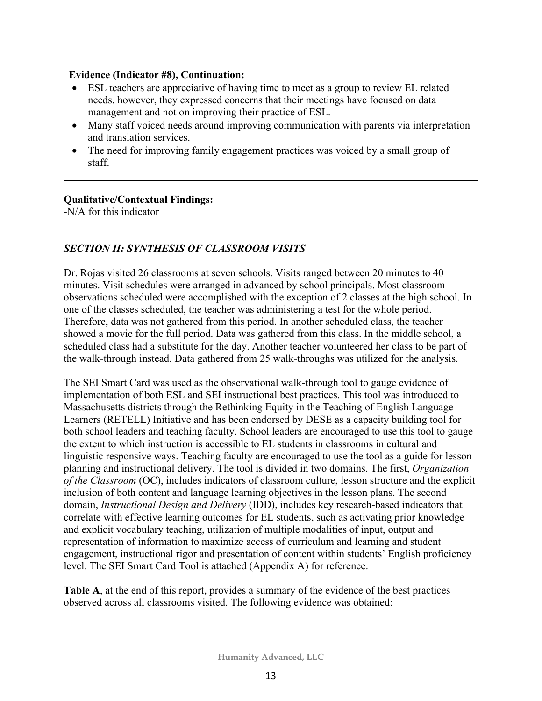#### **Evidence (Indicator #8), Continuation:**

- ESL teachers are appreciative of having time to meet as a group to review EL related needs. however, they expressed concerns that their meetings have focused on data management and not on improving their practice of ESL.
- Many staff voiced needs around improving communication with parents via interpretation and translation services.
- The need for improving family engagement practices was voiced by a small group of staff.

#### **Qualitative/Contextual Findings:**

-N/A for this indicator

#### *SECTION II: SYNTHESIS OF CLASSROOM VISITS*

Dr. Rojas visited 26 classrooms at seven schools. Visits ranged between 20 minutes to 40 minutes. Visit schedules were arranged in advanced by school principals. Most classroom observations scheduled were accomplished with the exception of 2 classes at the high school. In one of the classes scheduled, the teacher was administering a test for the whole period. Therefore, data was not gathered from this period. In another scheduled class, the teacher showed a movie for the full period. Data was gathered from this class. In the middle school, a scheduled class had a substitute for the day. Another teacher volunteered her class to be part of the walk-through instead. Data gathered from 25 walk-throughs was utilized for the analysis.

The SEI Smart Card was used as the observational walk-through tool to gauge evidence of implementation of both ESL and SEI instructional best practices. This tool was introduced to Massachusetts districts through the Rethinking Equity in the Teaching of English Language Learners (RETELL) Initiative and has been endorsed by DESE as a capacity building tool for both school leaders and teaching faculty. School leaders are encouraged to use this tool to gauge the extent to which instruction is accessible to EL students in classrooms in cultural and linguistic responsive ways. Teaching faculty are encouraged to use the tool as a guide for lesson planning and instructional delivery. The tool is divided in two domains. The first, *Organization of the Classroom* (OC), includes indicators of classroom culture, lesson structure and the explicit inclusion of both content and language learning objectives in the lesson plans. The second domain, *Instructional Design and Delivery* (IDD), includes key research-based indicators that correlate with effective learning outcomes for EL students, such as activating prior knowledge and explicit vocabulary teaching, utilization of multiple modalities of input, output and representation of information to maximize access of curriculum and learning and student engagement, instructional rigor and presentation of content within students' English proficiency level. The SEI Smart Card Tool is attached (Appendix A) for reference.

**Table A**, at the end of this report, provides a summary of the evidence of the best practices observed across all classrooms visited. The following evidence was obtained: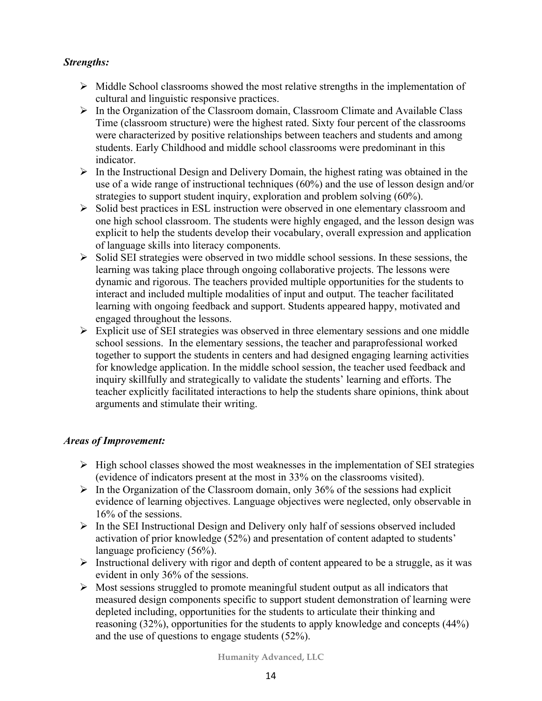### *Strengths:*

- $\triangleright$  Middle School classrooms showed the most relative strengths in the implementation of cultural and linguistic responsive practices.
- $\triangleright$  In the Organization of the Classroom domain, Classroom Climate and Available Class Time (classroom structure) were the highest rated. Sixty four percent of the classrooms were characterized by positive relationships between teachers and students and among students. Early Childhood and middle school classrooms were predominant in this indicator.
- $\triangleright$  In the Instructional Design and Delivery Domain, the highest rating was obtained in the use of a wide range of instructional techniques (60%) and the use of lesson design and/or strategies to support student inquiry, exploration and problem solving (60%).
- $\triangleright$  Solid best practices in ESL instruction were observed in one elementary classroom and one high school classroom. The students were highly engaged, and the lesson design was explicit to help the students develop their vocabulary, overall expression and application of language skills into literacy components.
- $\triangleright$  Solid SEI strategies were observed in two middle school sessions. In these sessions, the learning was taking place through ongoing collaborative projects. The lessons were dynamic and rigorous. The teachers provided multiple opportunities for the students to interact and included multiple modalities of input and output. The teacher facilitated learning with ongoing feedback and support. Students appeared happy, motivated and engaged throughout the lessons.
- $\triangleright$  Explicit use of SEI strategies was observed in three elementary sessions and one middle school sessions. In the elementary sessions, the teacher and paraprofessional worked together to support the students in centers and had designed engaging learning activities for knowledge application. In the middle school session, the teacher used feedback and inquiry skillfully and strategically to validate the students' learning and efforts. The teacher explicitly facilitated interactions to help the students share opinions, think about arguments and stimulate their writing.

# *Areas of Improvement:*

- $\triangleright$  High school classes showed the most weaknesses in the implementation of SEI strategies (evidence of indicators present at the most in 33% on the classrooms visited).
- $\triangleright$  In the Organization of the Classroom domain, only 36% of the sessions had explicit evidence of learning objectives. Language objectives were neglected, only observable in 16% of the sessions.
- $\triangleright$  In the SEI Instructional Design and Delivery only half of sessions observed included activation of prior knowledge (52%) and presentation of content adapted to students' language proficiency (56%).
- $\triangleright$  Instructional delivery with rigor and depth of content appeared to be a struggle, as it was evident in only 36% of the sessions.
- $\triangleright$  Most sessions struggled to promote meaningful student output as all indicators that measured design components specific to support student demonstration of learning were depleted including, opportunities for the students to articulate their thinking and reasoning (32%), opportunities for the students to apply knowledge and concepts (44%) and the use of questions to engage students (52%).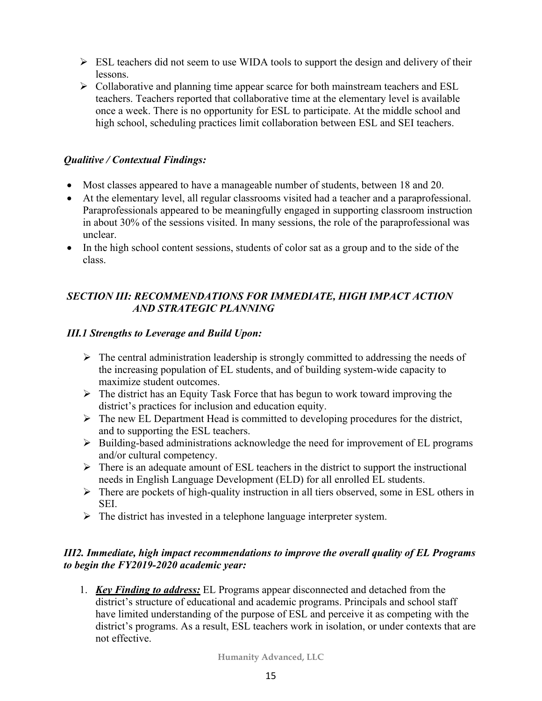- $\triangleright$  ESL teachers did not seem to use WIDA tools to support the design and delivery of their lessons.
- $\triangleright$  Collaborative and planning time appear scarce for both mainstream teachers and ESL teachers. Teachers reported that collaborative time at the elementary level is available once a week. There is no opportunity for ESL to participate. At the middle school and high school, scheduling practices limit collaboration between ESL and SEI teachers.

#### *Qualitive / Contextual Findings:*

- Most classes appeared to have a manageable number of students, between 18 and 20.
- At the elementary level, all regular classrooms visited had a teacher and a paraprofessional. Paraprofessionals appeared to be meaningfully engaged in supporting classroom instruction in about 30% of the sessions visited. In many sessions, the role of the paraprofessional was unclear.
- In the high school content sessions, students of color sat as a group and to the side of the class.

# *SECTION III: RECOMMENDATIONS FOR IMMEDIATE, HIGH IMPACT ACTION AND STRATEGIC PLANNING*

### *III.1 Strengths to Leverage and Build Upon:*

- $\triangleright$  The central administration leadership is strongly committed to addressing the needs of the increasing population of EL students, and of building system-wide capacity to maximize student outcomes.
- $\triangleright$  The district has an Equity Task Force that has begun to work toward improving the district's practices for inclusion and education equity.
- $\triangleright$  The new EL Department Head is committed to developing procedures for the district, and to supporting the ESL teachers.
- $\triangleright$  Building-based administrations acknowledge the need for improvement of EL programs and/or cultural competency.
- $\triangleright$  There is an adequate amount of ESL teachers in the district to support the instructional needs in English Language Development (ELD) for all enrolled EL students.
- $\triangleright$  There are pockets of high-quality instruction in all tiers observed, some in ESL others in SEI.
- $\triangleright$  The district has invested in a telephone language interpreter system.

### *III2. Immediate, high impact recommendations to improve the overall quality of EL Programs to begin the FY2019-2020 academic year:*

1. *Key Finding to address:* EL Programs appear disconnected and detached from the district's structure of educational and academic programs. Principals and school staff have limited understanding of the purpose of ESL and perceive it as competing with the district's programs. As a result, ESL teachers work in isolation, or under contexts that are not effective.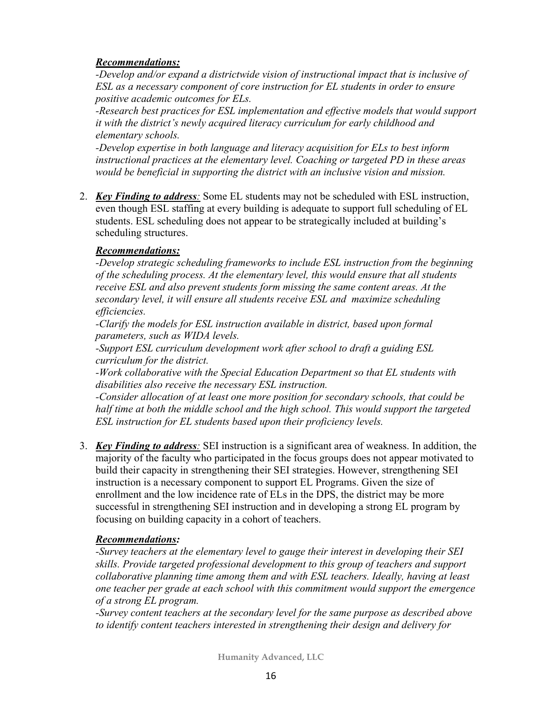#### *Recommendations:*

*-Develop and/or expand a districtwide vision of instructional impact that is inclusive of ESL as a necessary component of core instruction for EL students in order to ensure positive academic outcomes for ELs.*

*-Research best practices for ESL implementation and effective models that would support it with the district's newly acquired literacy curriculum for early childhood and elementary schools.*

*-Develop expertise in both language and literacy acquisition for ELs to best inform instructional practices at the elementary level. Coaching or targeted PD in these areas would be beneficial in supporting the district with an inclusive vision and mission.*

2. *Key Finding to address:* Some EL students may not be scheduled with ESL instruction, even though ESL staffing at every building is adequate to support full scheduling of EL students. ESL scheduling does not appear to be strategically included at building's scheduling structures.

#### *Recommendations:*

*-Develop strategic scheduling frameworks to include ESL instruction from the beginning of the scheduling process. At the elementary level, this would ensure that all students receive ESL and also prevent students form missing the same content areas. At the secondary level, it will ensure all students receive ESL and maximize scheduling efficiencies.*

*-Clarify the models for ESL instruction available in district, based upon formal parameters, such as WIDA levels.* 

*-Support ESL curriculum development work after school to draft a guiding ESL curriculum for the district.*

*-Work collaborative with the Special Education Department so that EL students with disabilities also receive the necessary ESL instruction.*

*-Consider allocation of at least one more position for secondary schools, that could be half time at both the middle school and the high school. This would support the targeted ESL instruction for EL students based upon their proficiency levels.* 

3. *Key Finding to address:* SEI instruction is a significant area of weakness. In addition, the majority of the faculty who participated in the focus groups does not appear motivated to build their capacity in strengthening their SEI strategies. However, strengthening SEI instruction is a necessary component to support EL Programs. Given the size of enrollment and the low incidence rate of ELs in the DPS, the district may be more successful in strengthening SEI instruction and in developing a strong EL program by focusing on building capacity in a cohort of teachers.

#### *Recommendations:*

*-Survey teachers at the elementary level to gauge their interest in developing their SEI skills. Provide targeted professional development to this group of teachers and support collaborative planning time among them and with ESL teachers. Ideally, having at least one teacher per grade at each school with this commitment would support the emergence of a strong EL program.*

*-Survey content teachers at the secondary level for the same purpose as described above to identify content teachers interested in strengthening their design and delivery for*